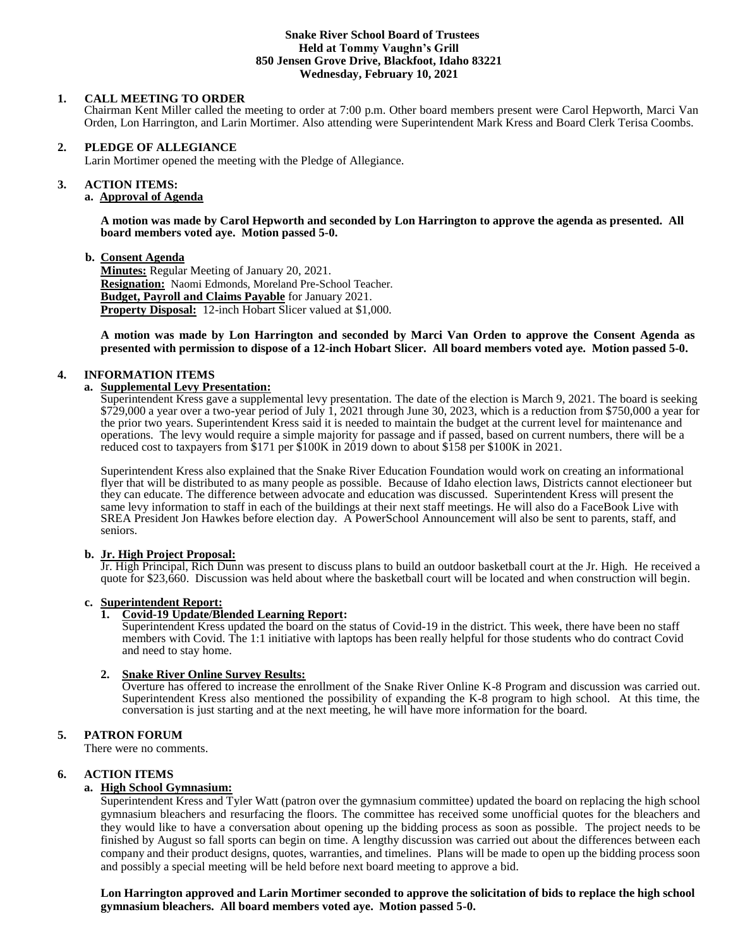#### **Snake River School Board of Trustees Held at Tommy Vaughn's Grill 850 Jensen Grove Drive, Blackfoot, Idaho 83221 Wednesday, February 10, 2021**

# **1. CALL MEETING TO ORDER**

Chairman Kent Miller called the meeting to order at 7:00 p.m. Other board members present were Carol Hepworth, Marci Van Orden, Lon Harrington, and Larin Mortimer. Also attending were Superintendent Mark Kress and Board Clerk Terisa Coombs.

# **2. PLEDGE OF ALLEGIANCE**

Larin Mortimer opened the meeting with the Pledge of Allegiance.

#### 3. **3. ACTION ITEMS:**

# **a. Approval of Agenda**

**A motion was made by Carol Hepworth and seconded by Lon Harrington to approve the agenda as presented. All board members voted aye. Motion passed 5-0.**

### **b. Consent Agenda**

**Minutes:** Regular Meeting of January 20, 2021. **Resignation:** Naomi Edmonds, Moreland Pre-School Teacher. **Budget, Payroll and Claims Payable** for January 2021. **Property Disposal:** 12-inch Hobart Slicer valued at \$1,000.

**A motion was made by Lon Harrington and seconded by Marci Van Orden to approve the Consent Agenda as presented with permission to dispose of a 12-inch Hobart Slicer. All board members voted aye. Motion passed 5-0.**

# **4. INFORMATION ITEMS**

# **a. Supplemental Levy Presentation:**

Superintendent Kress gave a supplemental levy presentation. The date of the election is March 9, 2021. The board is seeking \$729,000 a year over a two-year period of July 1, 2021 through June 30, 2023, which is a reduction from \$750,000 a year for the prior two years. Superintendent Kress said it is needed to maintain the budget at the current level for maintenance and operations. The levy would require a simple majority for passage and if passed, based on current numbers, there will be a reduced cost to taxpayers from \$171 per \$100K in 2019 down to about \$158 per \$100K in 2021.

Superintendent Kress also explained that the Snake River Education Foundation would work on creating an informational flyer that will be distributed to as many people as possible. Because of Idaho election laws, Districts cannot electioneer but they can educate. The difference between advocate and education was discussed. Superintendent Kress will present the same levy information to staff in each of the buildings at their next staff meetings. He will also do a FaceBook Live with SREA President Jon Hawkes before election day. A PowerSchool Announcement will also be sent to parents, staff, and seniors.

### **b. Jr. High Project Proposal:**

Jr. High Principal, Rich Dunn was present to discuss plans to build an outdoor basketball court at the Jr. High. He received a quote for \$23,660. Discussion was held about where the basketball court will be located and when construction will begin.

### **c. Superintendent Report:**

# **1. Covid-19 Update/Blended Learning Report:**

Superintendent Kress updated the board on the status of Covid-19 in the district. This week, there have been no staff members with Covid. The 1:1 initiative with laptops has been really helpful for those students who do contract Covid and need to stay home.

### **2. Snake River Online Survey Results:**

Overture has offered to increase the enrollment of the Snake River Online K-8 Program and discussion was carried out. Superintendent Kress also mentioned the possibility of expanding the K-8 program to high school. At this time, the conversation is just starting and at the next meeting, he will have more information for the board.

### **5. PATRON FORUM**

There were no comments.

# **6. ACTION ITEMS**

# **a. High School Gymnasium:**

Superintendent Kress and Tyler Watt (patron over the gymnasium committee) updated the board on replacing the high school gymnasium bleachers and resurfacing the floors. The committee has received some unofficial quotes for the bleachers and they would like to have a conversation about opening up the bidding process as soon as possible. The project needs to be finished by August so fall sports can begin on time. A lengthy discussion was carried out about the differences between each company and their product designs, quotes, warranties, and timelines. Plans will be made to open up the bidding process soon and possibly a special meeting will be held before next board meeting to approve a bid.

**Lon Harrington approved and Larin Mortimer seconded to approve the solicitation of bids to replace the high school gymnasium bleachers. All board members voted aye. Motion passed 5-0.**